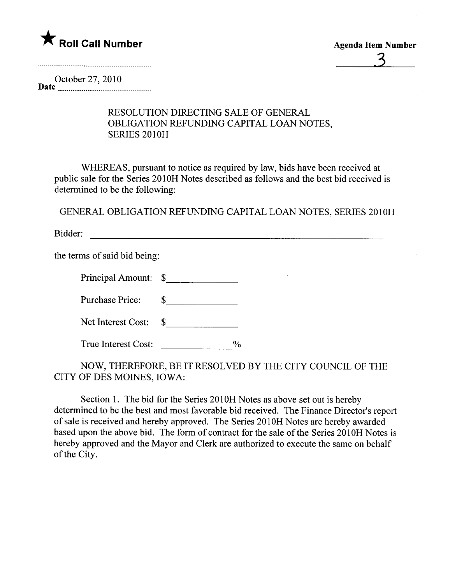

3

October 27,2010 Date \_nnnnnn \_ \_ \_ \_\_\_\_\_\_00 \_ \_ \_\_ \_ \_00\_ \_ \_ \_ 00 \_0000\_

## RESOLUTION DIRECTING SALE OF GENERA OBLIGATION REFUNDING CAPITAL LOAN NOTES, SERIES 2010H

WHEREAS, pursuant to notice as required by law, bids have been received at public sale for the Series 2010H Notes described as follows and the best bid received is determined to be the following:

GENERAL OBLIGATION REFUNDING CAPITAL LOAN NOTES, SERIES 2010H

Bidder:

the terms of said bid being:

| Principal Amount: \$ |  |
|----------------------|--|
|----------------------|--|

Purchase Price: \$

| Net Interest Cost: |  |
|--------------------|--|
|--------------------|--|

True Interest Cost:  $\frac{9}{6}$ 

NOW, THEREFORE, BE IT RESOLVED BY THE CITY COUNCIL OF THE CITY OF DES MOINES, IOWA:

Section 1. The bid for the Series 2010H Notes as above set out is hereby determined to be the best and most favorable bid received. The Finance Director's report of sale is received and hereby approved. The Series 2010H Notes are hereby awarded based upon the above bid. The form of contract for the sale of the Series 2010H Notes is hereby approved and the Mayor and Clerk are authorized to execute the same on behalf of the City.